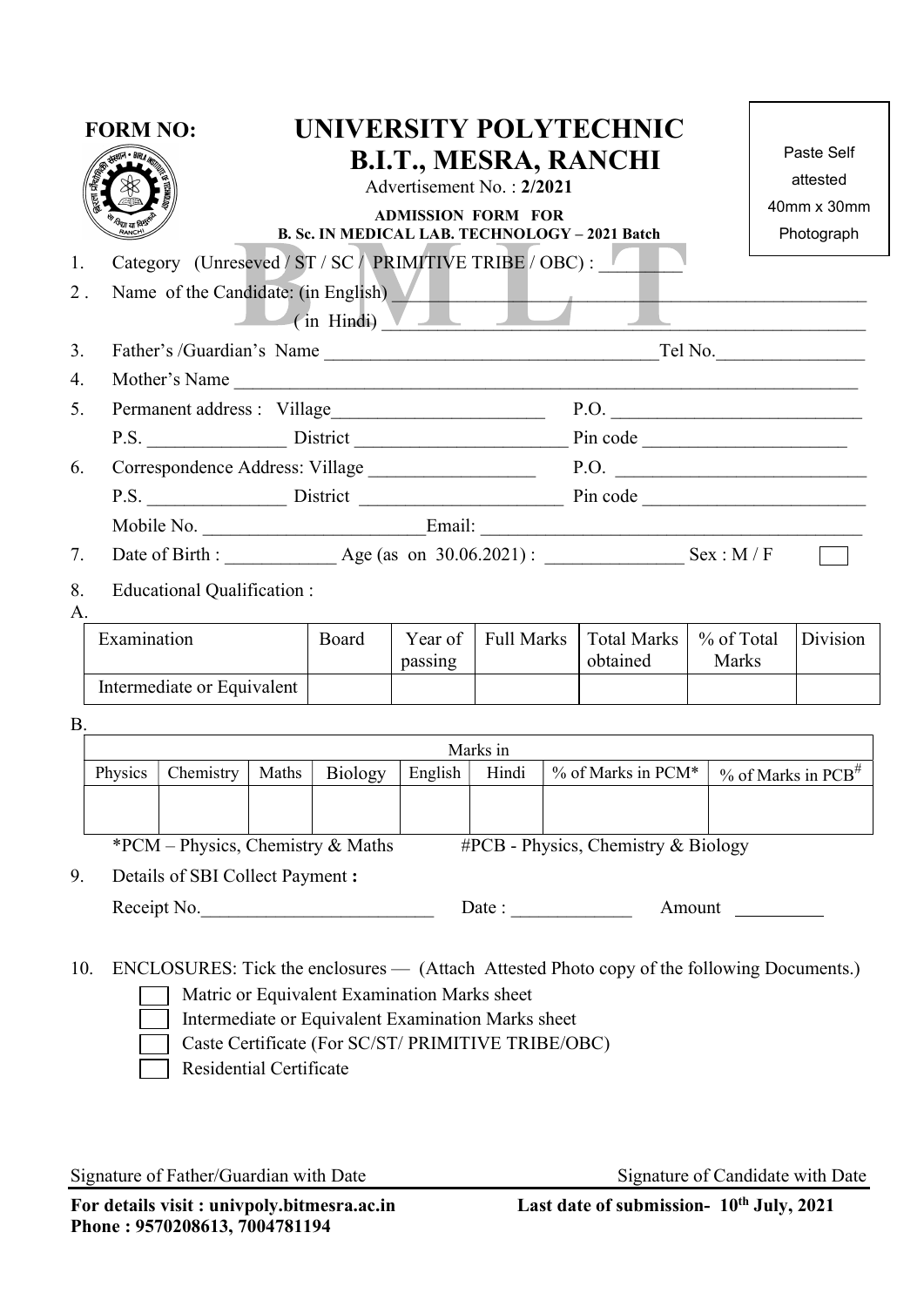| <b>FORM NO:</b>                                                                                                                                                                                                                                                                          |                                                                                                                |                                                    | UNIVERSITY POLYTECHNIC<br><b>B.I.T., MESRA, RANCHI</b><br>Advertisement No.: 2/2021<br><b>ADMISSION FORM FOR</b><br>B. Sc. IN MEDICAL LAB. TECHNOLOGY - 2021 Batch |                                |                                         |          |  |                                           |  | Paste Self<br>attested<br>40mm x 30mm<br>Photograph |          |  |
|------------------------------------------------------------------------------------------------------------------------------------------------------------------------------------------------------------------------------------------------------------------------------------------|----------------------------------------------------------------------------------------------------------------|----------------------------------------------------|--------------------------------------------------------------------------------------------------------------------------------------------------------------------|--------------------------------|-----------------------------------------|----------|--|-------------------------------------------|--|-----------------------------------------------------|----------|--|
| 1.<br>$2$ .                                                                                                                                                                                                                                                                              | Category (Unreseved / ST / SC / PRIMITIVE TRIBE / OBC):<br>Name of the Candidate: (in English)<br>(in Hindi) V |                                                    |                                                                                                                                                                    |                                |                                         |          |  |                                           |  |                                                     |          |  |
| 3.                                                                                                                                                                                                                                                                                       |                                                                                                                |                                                    |                                                                                                                                                                    | Father's /Guardian's Name      |                                         |          |  | Tel No.                                   |  |                                                     |          |  |
| 4.                                                                                                                                                                                                                                                                                       | Mother's Name                                                                                                  |                                                    |                                                                                                                                                                    |                                |                                         |          |  |                                           |  |                                                     |          |  |
| 5.                                                                                                                                                                                                                                                                                       |                                                                                                                |                                                    |                                                                                                                                                                    | Permanent address: Village     |                                         |          |  | P.O.                                      |  |                                                     |          |  |
|                                                                                                                                                                                                                                                                                          |                                                                                                                |                                                    |                                                                                                                                                                    | P.S. District Pin code Pincode |                                         |          |  |                                           |  |                                                     |          |  |
| 6.                                                                                                                                                                                                                                                                                       |                                                                                                                |                                                    |                                                                                                                                                                    |                                |                                         |          |  | Correspondence Address: Village P.O. P.O. |  |                                                     |          |  |
|                                                                                                                                                                                                                                                                                          | P.S. District Pin code                                                                                         |                                                    |                                                                                                                                                                    |                                |                                         |          |  |                                           |  |                                                     |          |  |
|                                                                                                                                                                                                                                                                                          |                                                                                                                |                                                    |                                                                                                                                                                    |                                |                                         |          |  |                                           |  |                                                     |          |  |
| 7.                                                                                                                                                                                                                                                                                       |                                                                                                                | Date of Birth : Age (as on 30.06.2021) : Sex : M/F |                                                                                                                                                                    |                                |                                         |          |  |                                           |  |                                                     |          |  |
| 8.<br>А.                                                                                                                                                                                                                                                                                 | Educational Qualification :                                                                                    |                                                    |                                                                                                                                                                    |                                |                                         |          |  |                                           |  |                                                     |          |  |
|                                                                                                                                                                                                                                                                                          | Examination                                                                                                    |                                                    |                                                                                                                                                                    | Board                          | <b>Full Marks</b><br>Year of<br>passing |          |  | <b>Total Marks</b><br>obtained            |  | % of Total<br>Marks                                 | Division |  |
|                                                                                                                                                                                                                                                                                          | Intermediate or Equivalent                                                                                     |                                                    |                                                                                                                                                                    |                                |                                         |          |  |                                           |  |                                                     |          |  |
| <b>B.</b>                                                                                                                                                                                                                                                                                |                                                                                                                |                                                    |                                                                                                                                                                    |                                |                                         |          |  |                                           |  |                                                     |          |  |
|                                                                                                                                                                                                                                                                                          |                                                                                                                |                                                    |                                                                                                                                                                    |                                |                                         | Marks in |  |                                           |  |                                                     |          |  |
|                                                                                                                                                                                                                                                                                          | Chemistry<br>Physics<br>Maths                                                                                  |                                                    | Biology                                                                                                                                                            | English                        | % of Marks in PCM*<br>Hindi             |          |  | $%$ of Marks in PCB <sup>#</sup>          |  |                                                     |          |  |
|                                                                                                                                                                                                                                                                                          |                                                                                                                |                                                    |                                                                                                                                                                    |                                |                                         |          |  |                                           |  |                                                     |          |  |
|                                                                                                                                                                                                                                                                                          | *PCM – Physics, Chemistry & Maths<br>#PCB - Physics, Chemistry & Biology                                       |                                                    |                                                                                                                                                                    |                                |                                         |          |  |                                           |  |                                                     |          |  |
| 9.<br>Details of SBI Collect Payment :                                                                                                                                                                                                                                                   |                                                                                                                |                                                    |                                                                                                                                                                    |                                |                                         |          |  |                                           |  |                                                     |          |  |
|                                                                                                                                                                                                                                                                                          |                                                                                                                | Receipt No.                                        |                                                                                                                                                                    |                                | Date:                                   |          |  |                                           |  |                                                     |          |  |
| ENCLOSURES: Tick the enclosures — (Attach Attested Photo copy of the following Documents.)<br>10.<br>Matric or Equivalent Examination Marks sheet<br>Intermediate or Equivalent Examination Marks sheet<br>Caste Certificate (For SC/ST/ PRIMITIVE TRIBE/OBC)<br>Residential Certificate |                                                                                                                |                                                    |                                                                                                                                                                    |                                |                                         |          |  |                                           |  |                                                     |          |  |

Signature of Father/Guardian with Date Signature of Candidate with Date